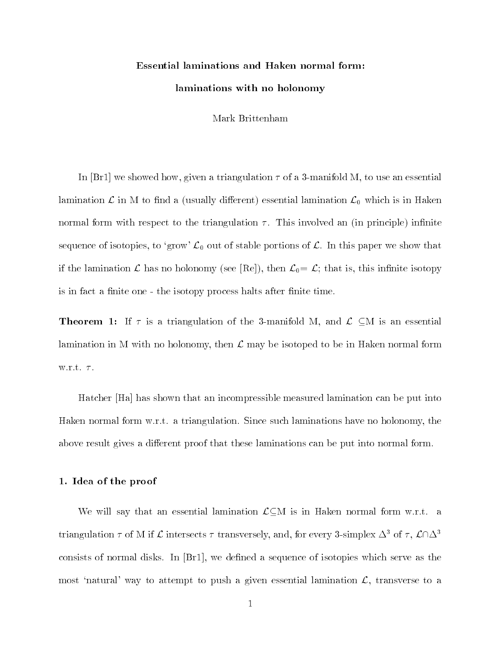# Essential laminations and Haken normal form:laminations with no holonomy

Mark Brittenham

In [Br1] we showed how, given a triangulation  $\tau$  of a 3-manifold M, to use an essential lamination  $\mathcal L$  in M to find a (usually different) essential lamination  $\mathcal L_0$  which is in Haken normal form with respect to the triangulation  $\tau$ . This involved an (in principle) infinite sequence of isotopies, to 'grow'  $\mathcal{L}_0$  out of stable portions of  $\mathcal{L}$ . In this paper we show that if the lamination  $\mathcal L$  has no holonomy (see [Re]), then  $\mathcal L_0 = \mathcal L$ ; that is, this infinite isotopy is in fact a finite one - the isotopy process halts after finite time.

Theorem 1: If  $\tau$  is a triangulation of the 3-manifold M, and  $\mathcal{L} \subset M$  is an essential lamination in M with no holonomy, then  $\mathcal L$  may be isotoped to be in Haken normal form w.r.t.  $\tau$ .

Hatcher [Ha] has shown that an incompressible measured lamination can be put into Haken normal form w.r.t. a triangulation. Since such laminations have no holonomy, the above result gives a different proof that these laminations can be put into normal form.

#### 1. Idea of the proof

We will say that an essential lamination  $\mathcal{L}\subseteq M$  is in Haken normal form w.r.t. a triangulation  $\tau$  of M if  $\mathcal L$  intersects  $\tau$  transversely, and, for every 3-simplex  $\Delta^3$  of  $\tau$ ,  $\mathcal L\cap\Delta^3$ consists of normal disks. In  $[Br1]$ , we defined a sequence of isotopies which serve as the most 'natural' way to attempt to push a given essential lamination  $\mathcal{L}$ , transverse to a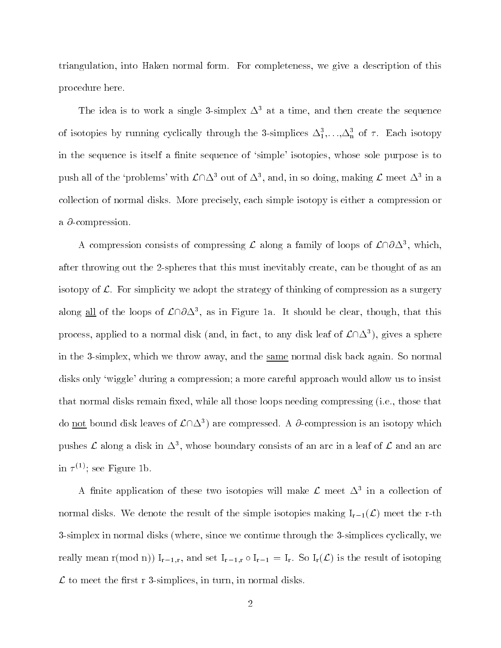triangulation, into Haken normal form. For completeness, we give a description of this procedure here.

The idea is to work a single 3-simplex  $\Delta^3$  at a time, and then create the sequence of isotopies by running cyclically through the 3-simplices  $\Delta_1,\ldots,\Delta_n$  of  $\tau$ . Each isotopy in the sequence is itself a finite sequence of 'simple' isotopies, whose sole purpose is to push all of the 'problems' with  $\mathcal{L}\cap\Delta^3$  out of  $\Delta^3$ , and, in so doing, making  $\mathcal{L}$  meet  $\Delta^3$  in a collection of normal disks. More precisely, each simple isotopy is either a compression or a  $\partial$ -compression.

A compression consists of compressing  $\mathcal L$  along a family of loops of  $\mathcal L\cap\partial\Delta^3$ , which, after throwing out the 2-spheres that this must inevitably create, can be thought of as an isotopy of  $\mathcal{L}$ . For simplicity we adopt the strategy of thinking of compression as a surgery along all of the loops of  $\mathcal{L}\cap\partial\Delta^3$ , as in Figure 1a. It should be clear, though, that this process, applied to a normal disk (and, in fact, to any disk leaf of  $\mathcal{L}\cap\Delta^3$ ), gives a sphere in the 3-simplex, which we throw away, and the same normal disk back again. So normal disks only `wiggle' during a compression; a more careful approach would allow us to insist that normal disks remain fixed, while all those loops needing compressing (i.e., those that do not bound disk leaves of  $\mathcal{L} \cap \Delta^3$  are compressed. A  $\partial$ -compression is an isotopy which pushes  $\mathcal L$  along a disk in  $\Delta^3$ , whose boundary consists of an arc in a leaf of  $\mathcal L$  and an arc in  $\tau$   $\cdots$  ; see rigure id.

A finite application of these two isotopies will make  $\mathcal L$  meet  $\Delta^3$  in a collection of normal disks. We denote the result of the simple isotopies making  $I_{r-1}(\mathcal{L})$  meet the r-th 3-simplex in normal disks (where, since we continue through the 3-simplices cyclically, we really mean r(mod n))  $I_{r-1,r}$ , and set  $I_{r-1,r} \circ I_{r-1} = I_r$ . So  $I_r(\mathcal{L})$  is the result of isotoping Lto meet the second and simplices in the simplice of the second distance  $\mathbf{I}$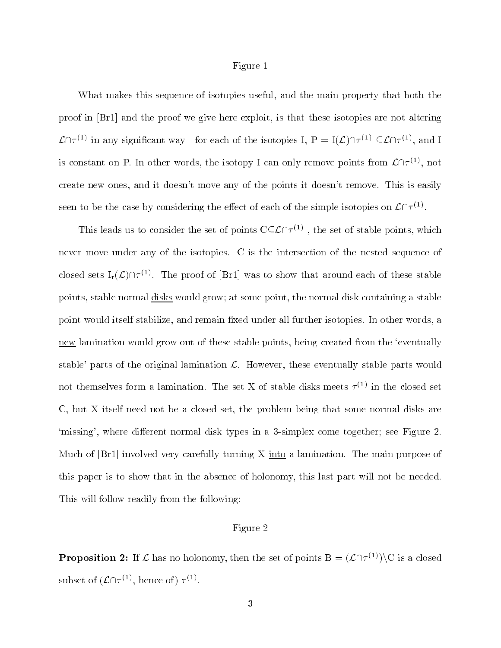#### Figure 1

What makes this sequence of isotopies useful, and the main property that both the proof in [Br1] and the proof we give here exploit, is that these isotopies are not altering  $\mathcal{L}\cap \tau^{(1)}$  in any significant way - for each of the isotopies I,  $P = I(\mathcal{L})\cap \tau^{(1)} \subset \mathcal{L}\cap \tau^{(1)}$ , and I is constant on P. In other words, the isotopy I can only remove points from  $\mathcal{L}\cap \tau^{(1)}$ , not create new ones, and it doesn't move any of the points it doesn't remove. This is easily seen to be the case by considering the effect of each of the simple isotopies on  $\mathcal{L}\cap \tau^{(1)}$ .

This leads us to consider the set of points  $C \subset \mathcal{L} \cap \tau^{(1)}$ , the set of stable points, which never move under any of the isotopies. C is the intersection of the nested sequence of closed sets  $I_r(\mathcal{L}) \cap \tau^{(1)}$ . The proof of [Br1] was to show that around each of these stable points, stable normal disks would grow; at some point, the normal disk containing a stable point would itself stabilize, and remain fixed under all further isotopies. In other words, a new lamination would grow out of these stable points, being created from the 'eventually stable' parts of the original lamination  $\mathcal{L}$ . However, these eventually stable parts would not themselves form a lamination. The set  $\Lambda$  of stable disks meets  $\tau^{++}$  in the closed set C, but X itself need not be a closed set, the problem being that some normal disks are 'missing', where different normal disk types in a 3-simplex come together; see Figure 2. Much of  $[Br1]$  involved very carefully turning X into a lamination. The main purpose of this paper is to show that in the absence of holonomy, this last part will not be needed. This will follow readily from the following:

## Figure 2

**Proposition 2:** If  $\mathcal L$  has no holonomy, then the set of points  $B = (\mathcal L \cap \tau^{(1)})\backslash C$  is a closed subset of  $(\mathcal{L}\cap \tau^{(1)}, \text{ hence of}) \tau^{(1)}.$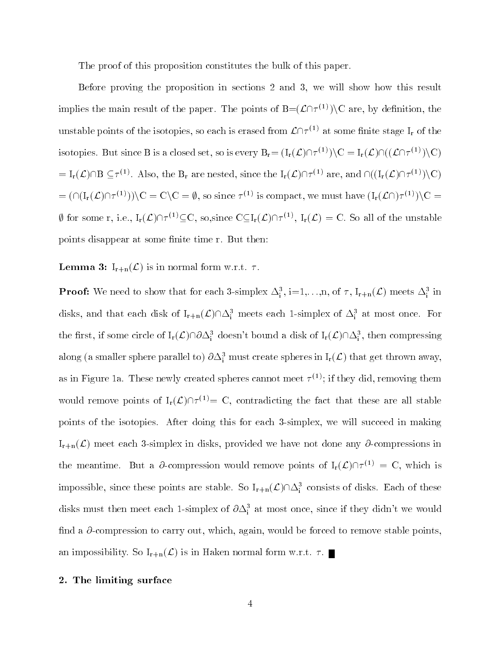The proof of this proposition constitutes the bulk of this paper.

Before proving the proposition in sections 2 and 3, we will show how this result implies the main result of the paper. The points of  $B=(\mathcal{L}\cap \tau^{(1)})\setminus C$  are, by definition, the unstable points of the isotopies, so each is erased from  $\mathcal{L}\cap \tau^{(1)}$  at some finite stage I<sub>r</sub> of the isotopies. But since B is a closed set, so is every  $B_r = (I_r(\mathcal{L})\cap \tau^{(1)})\setminus C = I_r(\mathcal{L})\cap ((\mathcal{L}\cap \tau^{(1)})\setminus C)$  $= I_r(\mathcal{L}) \cap B \subseteq \tau^{(1)}$ . Also, the  $B_r$  are nested, since the  $I_r(\mathcal{L}) \cap \tau^{(1)}$  are, and  $\cap ((I_r(\mathcal{L}) \cap \tau^{(1)}) \setminus C)$  $= (\bigcap (I_r(\mathcal{L})\bigcap \tau^{(1)})\big)\setminus C = C\setminus C = \emptyset$ , so since  $\tau^{(1)}$  is compact, we must have  $(I_r(\mathcal{L}\bigcap \tau^{(1)})\setminus C = C$ If for some r, i.e.,  $I_r(\mathcal{L}) \cap \tau^{(1)} \subseteq C$ , so,since  $C \subseteq I_r(\mathcal{L}) \cap \tau^{(1)}$ ,  $I_r(\mathcal{L}) = C$ . So all of the unstable points disappear at some finite time r. But then:

**Lemma 3:**  $I_{r+n}(\mathcal{L})$  is in normal form w.r.t.  $\tau$ .

**Proof:** We need to show that for each 3-simplex  $\Delta_i^3$ , i=1,...,n, of  $\tau$ ,  $I_{r+n}(\mathcal{L})$  meets  $\Delta_i^3$  in disks, and that each disk of  $I_{r+n}(\mathcal{L}) \cap \Delta_i^3$  meets each 1-simplex of  $\Delta_i^3$  at most once. For the first, if some circle of  $I_r(\mathcal{L}) \cap \partial \Delta^3_i$  doesn't bound a disk of  $I_r(\mathcal{L}) \cap \Delta^3_i$ , then compressing  $\rm{along}~(a~\rm{smaller~sphere~parallel~to})~\partial\Delta^3_i~\rm{must~create~spheres~in}~I_r(\mathcal{L})~\rm{that~get~thrown~away},$ as in Figure 1a. These newly created spheres cannot meet  $\tau^{<\gamma};$  if they did, removing them would remove points of  $I_r(\mathcal{L}) \cap \tau^{(1)} = C$ , contradicting the fact that these are all stable points of the isotopies. After doing this for each 3-simplex, we will succeed in making  $I_{r+n}(\mathcal{L})$  meet each 3-simplex in disks, provided we have not done any  $\partial$ -compressions in the meantime. But a  $\partial$ -compression would remove points of  $I_r(\mathcal{L})\cap \tau^{(1)} = C$ , which is impossible, since these points are stable. So  $I_{r+n}(\mathcal{L}) \cap \Delta_i^3$  consists of disks. Each of these disks must then meet each 1-simplex of  $\partial \Delta_i^3$  at most once, since if they didn't we would find a  $\partial$ -compression to carry out, which, again, would be forced to remove stable points, an impossibility. So  $I_{r+n}(\mathcal{L})$  is in Haken normal form w.r.t.  $\tau$ .

# 2. The limiting surface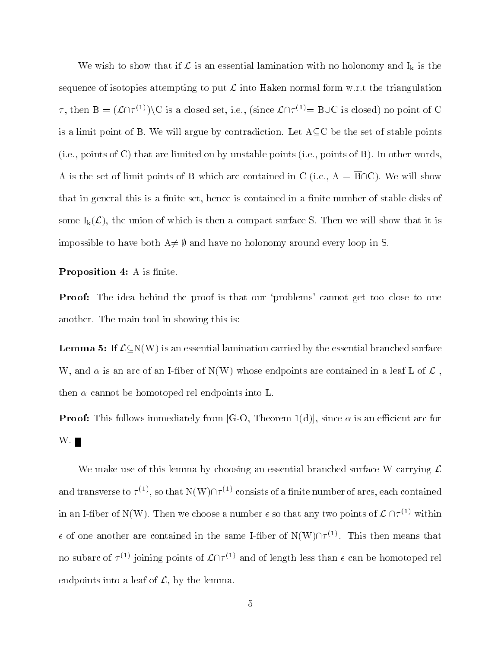We wish to show that if  $\mathcal L$  is an essential lamination with no holonomy and  $I_k$  is the sequence of isotopies attempting to put  $\mathcal L$  into Haken normal form w.r.t the triangulation  $\tau$ , then  $B = (\mathcal{L} \cap \tau^{(1)}) \backslash C$  is a closed set, i.e., (since  $\mathcal{L} \cap \tau^{(1)} = B \cup C$  is closed) no point of C is a limit point of B. We will argue by contradiction. Let  $A \subseteq C$  be the set of stable points (i.e., points of C) that are limited on by unstable points (i.e., points of B). In other words, A is the set of limit points of B which are contained in C (i.e.,  $A = \overline{B} \cap C$ ). We will show that in general this is a finite set, hence is contained in a finite number of stable disks of some  $I_k(\mathcal{L})$ , the union of which is then a compact surface S. Then we will show that it is impossible to have both  $A\neq\emptyset$  and have no holonomy around every loop in S.

**FIOPOSITION 4.** A is milled.

**Proof:** The idea behind the proof is that our 'problems' cannot get too close to one another. The main tool in showing this is:

**Lemma 5:** If  $\mathcal{L}\subset N(W)$  is an essential lamination carried by the essential branched surface W, and  $\alpha$  is an arc of an I-fiber of N(W) whose endpoints are contained in a leaf L of  $\mathcal L$ , then  $\alpha$  cannot be homotoped rel endpoints into L.

 $\blacksquare$  Pool, This follows immediately from  $\lceil\phi-\phi\rceil$  Theorem 1(d), since  $\alpha$  is an expected are for  $W.$ 

We make use of this lemma by choosing an essential branched surface W carrying  $\mathcal L$ and transverse to  $\tau^{(1)}$ , so that  $N(W)\cap \tau^{(1)}$  consists of a finite number of arcs, each contained and transverse to  $\tau^{(1)}$ , so that  $N(W) \cap \tau^{(1)}$  consists of a finite number of arcs, each con<br>in an I-fiber of  $N(W)$ . Then we choose a number  $\epsilon$  so that any two points of  $\mathcal{L} \cap \tau^{(1)}$  $\sim$  within  $\epsilon$  of one another are contained in the same I-fiber of  $N(W)\cap \tau^{(1)}$ . This then means that no subarc of  $\tau^{(1)}$  joining points of  $\mathcal{L}\cap \tau^{(1)}$  and of length less than  $\epsilon$  can be homotoped rel endpoints into a leaf of  $\mathcal{L}$ , by the lemma.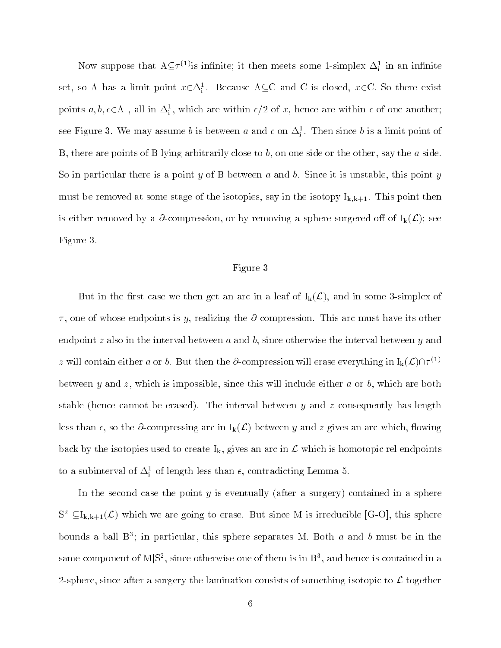Now suppose that  $A \subseteq \tau^{(1)}$  is infinite; it then meets some 1-simplex  $\Delta_i^1$  in an infinite set, so A has a limit point  $x \in \Delta_i^1$ . Because ACC and C is closed,  $x \in C$ . So there exist points  $a, b, c \in A$ , all in  $\Delta_i^1$ , which are within  $\epsilon/2$  of x, hence are within  $\epsilon$  of one another; see Figure 5. We may assume  $v$  is between  $a$  and  $c$  on  $\Delta_{\tilde{i}}$  . Then since  $v$  is a limit point of B, there are points of B lying arbitrarily close to b, on one side or the other, say the a-side. So in particular there is a point  $y$  of B between  $a$  and  $b$ . Since it is unstable, this point  $y$ must be removed at some stage of the isotopies, say in the isotopy  $I_{k,k+1}$ . This point then is either removed by a  $\partial$ -compression, or by removing a sphere surgered off of  $I_k(\mathcal{L})$ ; see Figure 3.

# Figure 3

But in the first case we then get an arc in a leaf of  $I_k(\mathcal{L})$ , and in some 3-simplex of  $\tau$ , one of whose endpoints is y, realizing the  $\partial$ -compression. This arc must have its other endpoint z also in the interval between  $a$  and  $b$ , since otherwise the interval between  $y$  and z will contain either a or b. But then the  $\partial$ -compression will erase everything in  $I_k(\mathcal{L})\cap \tau^{(1)}$ between y and z, which is impossible, since this will include either a or b, which are both stable (hence cannot be erased). The interval between  $y$  and  $z$  consequently has length less than  $\epsilon$ , so the  $\partial$ -compressing arc in  $I_k(\mathcal{L})$  between y and z gives an arc which, flowing back by the isotopies used to create  $I_k$ , gives an arc in  $\mathcal L$  which is homotopic rel endpoints to a subinterval of  $\Delta_{\rm i}^z$  of length less than  $\epsilon$ , contradicting Lemma 5.

In the second case the point  $y$  is eventually (after a surgery) contained in a sphere  $S^2 \subseteq I_{k,k+1}(\mathcal{L})$  which we are going to erase. But since M is irreducible [G-O], this sphere bounds a ball  $B^*$ ; in particular, this sphere separates M. Both  $a$  and  $b$  must be in the same component of  $M|S^2$ , since otherwise one of them is in  $B^3$ , and hence is contained in a 2-sphere, since after a surgery the lamination consists of something isotopic to  $\mathcal{L}$  together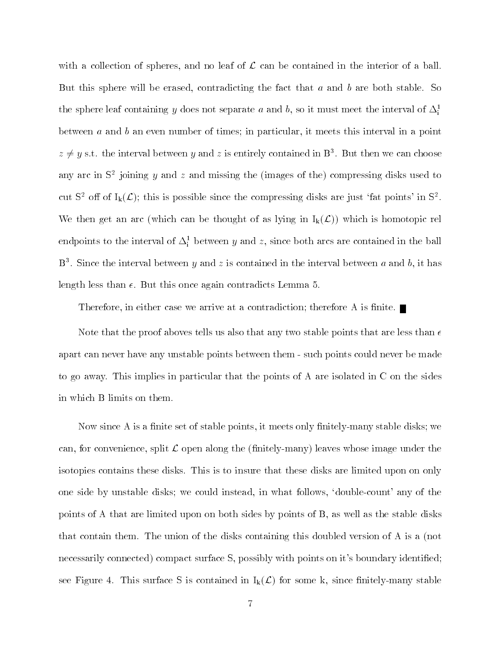with a collection of spheres, and no leaf of  $\mathcal L$  can be contained in the interior of a ball. But this sphere will be erased, contradicting the fact that  $a$  and  $b$  are both stable. So the sphere leaf containing  $y$  does not separate  $a$  and  $b$ , so it must meet the interval of  $\Delta_{\vec{i}}$ between  $a$  and  $b$  an even number of times; in particular, it meets this interval in a point  $z \neq y$  s.t. the interval between y and z is entirely contained in B<sup>3</sup>. But then we can choose any arc in  $5^{\circ}$  joining  $y$  and  $z$  and missing the (images of the) compressing disks used to cut S<sup>2</sup> off of  $I_k(\mathcal{L})$ ; this is possible since the compressing disks are just 'fat points' in S<sup>2</sup>. We then get an arc (which can be thought of as lying in  $I_k(\mathcal{L})$ ) which is homotopic rel endpoints to the interval of  $\Delta_{\rm i}^{\rm c}$  between  $y$  and  $z,$  since both arcs are contained in the ball  $D^*$ . Since the interval between  $y$  and  $z$  is contained in the interval between  $a$  and  $v$ , it has length less than  $\epsilon$ . But this once again contradicts Lemma 5.

Therefore, in either case we arrive at a contradiction; therefore A is finite.  $\blacksquare$ 

Note that the proof aboves tells us also that any two stable points that are less than  $\epsilon$ apart can never have any unstable points between them - such points could never be made to go away. This implies in particular that the points of A are isolated in C on the sides in which B limits on them.

Now since A is a finite set of stable points, it meets only finitely-many stable disks; we can, for convenience, split  $\mathcal L$  open along the (finitely-many) leaves whose image under the isotopies contains these disks. This is to insure that these disks are limited upon on only one side by unstable disks; we could instead, in what follows, `double-count' any of the points of A that are limited upon on both sides by points of B, as well as the stable disks that contain them. The union of the disks containing this doubled version of A is a (not necessarily connected) compact surface S, possibly with points on it's boundary identified; see Figure 4. This surface S is contained in  $I_k(\mathcal{L})$  for some k, since finitely-many stable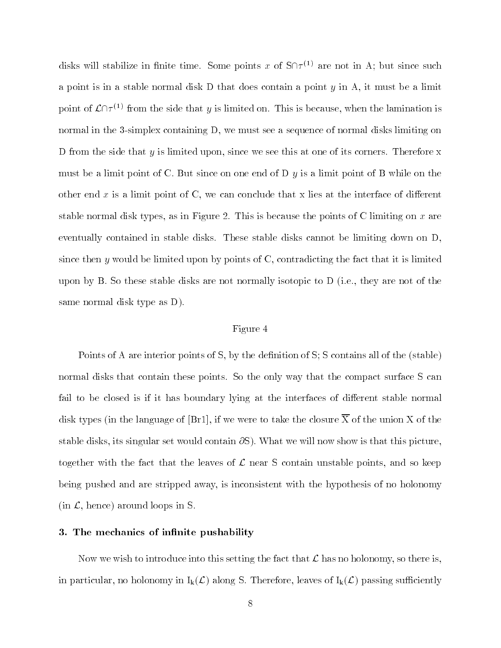disks will stabilize in finite time. Some points x of  $S(\mathcal{T}^{(1)}$  are not in A; but since such a point is in a stable normal disk  $D$  that does contain a point  $y$  in A, it must be a limit point of  $\mathcal{L}\cap \tau^{(1)}$  from the side that y is limited on. This is because, when the lamination is normal in the 3-simplex containing D, we must see a sequence of normal disks limiting on D from the side that  $y$  is limited upon, since we see this at one of its corners. Therefore  $x$ must be a limit point of C. But since on one end of  $D<sub>y</sub>$  is a limit point of B while on the other end x is a limit point of C, we can conclude that x lies at the interface of different stable normal disk types, as in Figure 2. This is because the points of C limiting on  $x$  are eventually contained in stable disks. These stable disks cannot be limiting down on D, since then y would be limited upon by points of  $C$ , contradicting the fact that it is limited upon by B. So these stable disks are not normally isotopic to D (i.e., they are not of the same normal disk type as D).

## Figure 4

Points of A are interior points of S, by the definition of S; S contains all of the (stable) normal disks that contain these points. So the only way that the compact surface S can fail to be closed is if it has boundary lying at the interfaces of different stable normal disk types (in the language of [Br1], if we were to take the closure  $\overline{X}$  of the union X of the stable disks, its singular set would contain  $\partial S$ ). What we will now show is that this picture, together with the fact that the leaves of  $\mathcal L$  near S contain unstable points, and so keep being pushed and are stripped away, is inconsistent with the hypothesis of no holonomy  $(in \mathcal{L}, \text{hence})$  around loops in S.

# 3. The mechanics of infinite pushability

Now we wish to introduce into this setting the fact that  $\mathcal L$  has no holonomy, so there is, in particular, no holonomy in  $I_k(\mathcal{L})$  along S. Therefore, leaves of  $I_k(\mathcal{L})$  passing sufficiently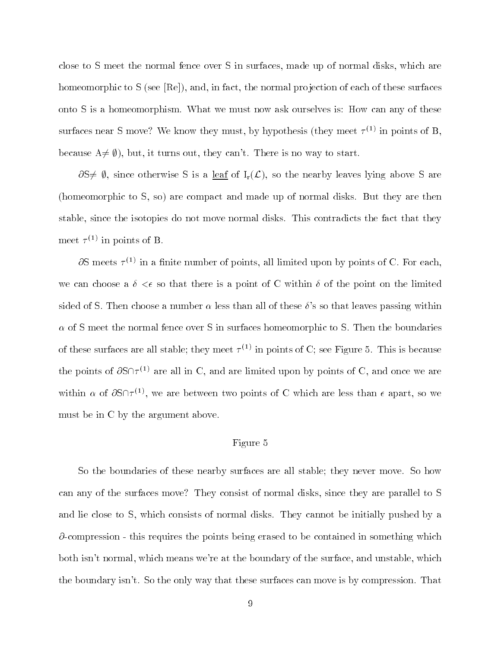close to S meet the normal fence over S in surfaces, made up of normal disks, which are homeomorphic to S (see  $[Re]$ ), and, in fact, the normal projection of each of these surfaces onto S is a homeomorphism. What we must now ask ourselves is: How can any of these surfaces near  $\overline{5}$  move: We know they must, by hypothesis (they meet  $\tau^{<\gamma}$  in points of  $\overline{D}$ , because  $A \neq \emptyset$ , but, it turns out, they can't. There is no way to start.

 $\partial S \neq \emptyset$ , since otherwise S is a <u>leaf</u> of  $I_r(\mathcal{L})$ , so the nearby leaves lying above S are (homeomorphic to S, so) are compact and made up of normal disks. But they are then stable, since the isotopies do not move normal disks. This contradicts the fact that they meet  $\tau$   $\sim$  in points of  $\sigma$ .

 $\sigma$ S meets  $\tau$  ' $^{\prime}$  in a nnite number of points, all limited upon by points of U. For each, we can choose a  $\delta < \epsilon$  so that there is a point of C within  $\delta$  of the point on the limited sided of S. Then choose a number  $\alpha$  less than all of these  $\delta$ 's so that leaves passing within  $\alpha$  of S meet the normal fence over S in surfaces homeomorphic to S. Then the boundaries of these surfaces are all stable; they meet  $\tau^{(*)}$  in points of U; see Figure 5. This is because the points of  $\partial S \cap \tau^{(1)}$  are all in C, and are limited upon by points of C, and once we are within  $\alpha$  of  $\partial S \cap \tau^{(1)}$ , we are between two points of C which are less than  $\epsilon$  apart, so we must be in C by the argument above.

## Figure 5

So the boundaries of these nearby surfaces are all stable; they never move. So how can any of the surfaces move? They consist of normal disks, since they are parallel to S and lie close to S, which consists of normal disks. They cannot be initially pushed by a  $\partial$ -compression - this requires the points being erased to be contained in something which both isn't normal, which means we're at the boundary of the surface, and unstable, which the boundary isn't. So the only way that these surfaces can move is by compression. That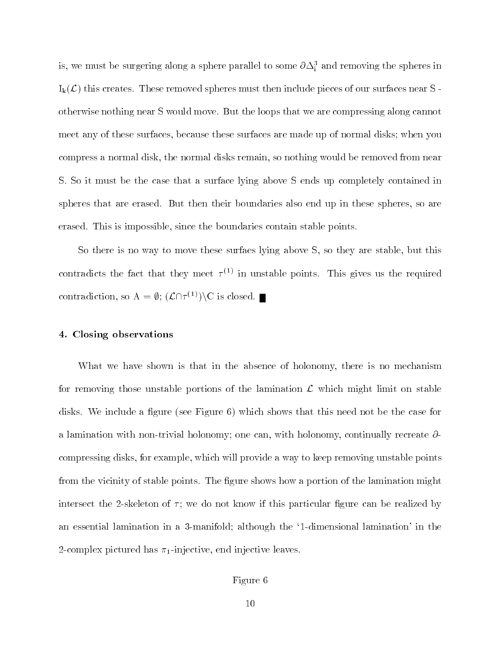is, we must be surgering along a sphere parallel to some  $\sigma \Delta_{\rm i}^z$  and removing the spheres in  $I_k(\mathcal{L})$  this creates. These removed spheres must then include pieces of our surfaces near S otherwise nothing near S would move. But the loops that we are compressing along cannot meet any of these surfaces, because these surfaces are made up of normal disks; when you compress a normal disk, the normal disks remain, so nothing would be removed from near S. So it must be the case that a surface lying above S ends up completely contained in spheres that are erased. But then their boundaries also end up in these spheres, so are erased. This is impossible, since the boundaries contain stable points.

So there is no way to move these surfaes lying above S, so they are stable, but this contradicts the fact that they meet  $\tau^{_{\backslash\text{''}}}}$  in unstable points. This gives us the required contradiction, so  $A = \emptyset$ ;  $(\mathcal{L} \cap \tau^{(1)}) \setminus C$  is closed.

#### 4. Closing observations

What we have shown is that in the absence of holonomy, there is no mechanism for removing those unstable portions of the lamination  $\mathcal L$  which might limit on stable disks. We include a figure (see Figure 6) which shows that this need not be the case for a lamination with non-trivial holonomy; one can, with holonomy, continually recreate  $\partial$ compressing disks, for example, which will provide a way to keep removing unstable points from the vicinity of stable points. The figure shows how a portion of the lamination might intersect the 2-skeleton of  $\tau$ ; we do not know if this particular figure can be realized by an essential lamination in a 3-manifold; although the `1-dimensional lamination' in the 2-complex pictured has  $\pi_1$ -injective, end injective leaves.

# Figure 6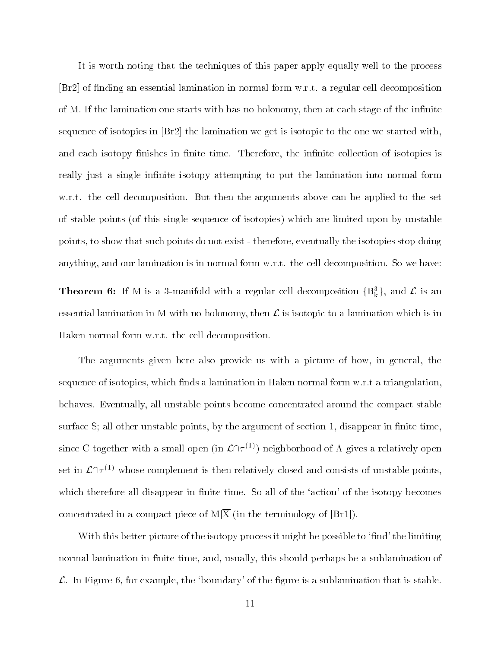It is worth noting that the techniques of this paper apply equally well to the process  $[Br2]$  of finding an essential lamination in normal form w.r.t. a regular cell decomposition of M. If the lamination one starts with has no holonomy, then at each stage of the infinite sequence of isotopies in [Br2] the lamination we get is isotopic to the one we started with, and each isotopy finishes in finite time. Therefore, the infinite collection of isotopies is really just a single infinite isotopy attempting to put the lamination into normal form w.r.t. the cell decomposition. But then the arguments above can be applied to the set of stable points (of this single sequence of isotopies) which are limited upon by unstable points, to show that such points do not exist - therefore, eventually the isotopies stop doing anything, and our lamination is in normal form w.r.t. the cell decomposition. So we have:

**Theorem 6:** If M is a 3-manifold with a regular cell decomposition  $\{B_k^3\}$ , and  $\mathcal L$  is an essential lamination in M with no holonomy, then  $\mathcal L$  is isotopic to a lamination which is in Haken normal form w.r.t. the cell decomposition.

The arguments given here also provide us with a picture of how, in general, the sequence of isotopies, which finds a lamination in Haken normal form  $w.r.t$  a triangulation, behaves. Eventually, all unstable points become concentrated around the compact stable surface  $S$ ; all other unstable points, by the argument of section 1, disappear in finite time, since C together with a small open (in  $\mathcal{L}(\mathcal{T}^{(1)})$ ) neighborhood of A gives a relatively open set in  $\mathcal{L}\cap \tau^{(1)}$  whose complement is then relatively closed and consists of unstable points, which therefore all disappear in finite time. So all of the 'action' of the isotopy becomes concentrated in a compact piece of  $M|\overline{X}$  (in the terminology of [Br1]).

With this better picture of the isotopy process it might be possible to 'find' the limiting normal lamination in finite time, and, usually, this should perhaps be a sublamination of  $\mathcal{L}$ . In Figure 6, for example, the 'boundary' of the figure is a sublamination that is stable.